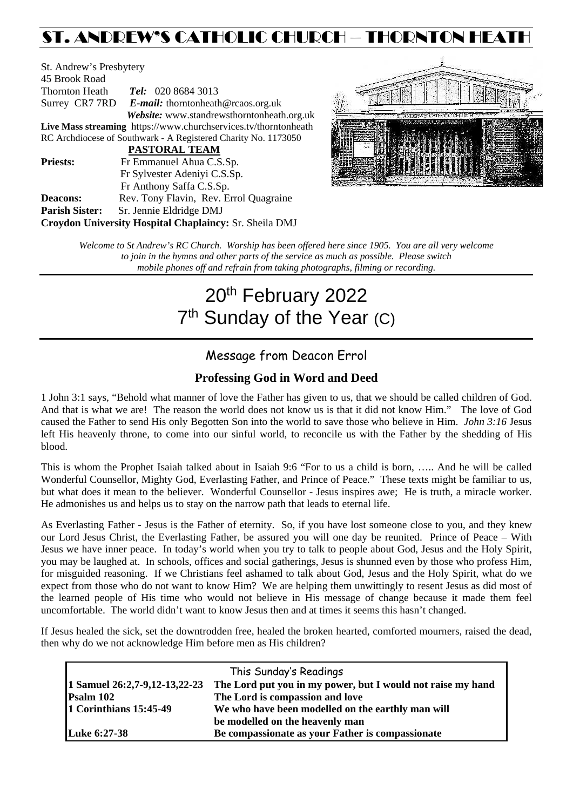# ST. ANDREW'S CATHOLIC CHURCH – THORNTON HEATH

St. Andrew's Presbytery 45 Brook Road Thornton Heath *Tel:* 020 8684 3013 Surrey CR7 7RD *E-mail:* [thorntonheath@rcaos.org.uk](mailto:thorntonheath@rcaos.org.uk) *Website:* www.standrewsthorntonheath.org.uk **Live Mass streaming** <https://www.churchservices.tv/thorntonheath> RC Archdiocese of Southwark - A Registered Charity No. 1173050  **PASTORAL TEAM Priests:** Fr Emmanuel Ahua C.S.Sp. Fr Sylvester Adeniyi C.S.Sp. Fr Anthony Saffa C.S.Sp. **Deacons:** Rev. Tony Flavin, Rev. Errol Quagraine **Parish Sister:** Sr. Jennie Eldridge DMJ **Croydon University Hospital Chaplaincy:** Sr. Sheila DMJ



*Welcome to St Andrew's RC Church. Worship has been offered here since 1905. You are all very welcome to join in the hymns and other parts of the service as much as possible. Please switch mobile phones off and refrain from taking photographs, filming or recording.*

# 20<sup>th</sup> February 2022 7<sup>th</sup> Sunday of the Year (C)

# Message from Deacon Errol

# **Professing God in Word and Deed**

1 John 3:1 says, "Behold what manner of love the Father has given to us, that we should be called children of God. And that is what we are! The reason the world does not know us is that it did not know Him." The love of God caused the Father to send His only Begotten Son into the world to save those who believe in Him. *John 3:16* Jesus left His heavenly throne, to come into our sinful world, to reconcile us with the Father by the shedding of His blood.

This is whom the Prophet Isaiah talked about in Isaiah 9:6 "For to us a child is born, ….. And he will be called Wonderful Counsellor, Mighty God, Everlasting Father, and Prince of Peace." These texts might be familiar to us, but what does it mean to the believer. Wonderful Counsellor - Jesus inspires awe; He is truth, a miracle worker. He admonishes us and helps us to stay on the narrow path that leads to eternal life.

As Everlasting Father - Jesus is the Father of eternity. So, if you have lost someone close to you, and they knew our Lord Jesus Christ, the Everlasting Father, be assured you will one day be reunited. Prince of Peace – With Jesus we have inner peace. In today's world when you try to talk to people about God, Jesus and the Holy Spirit, you may be laughed at. In schools, offices and social gatherings, Jesus is shunned even by those who profess Him, for misguided reasoning. If we Christians feel ashamed to talk about God, Jesus and the Holy Spirit, what do we expect from those who do not want to know Him? We are helping them unwittingly to resent Jesus as did most of the learned people of His time who would not believe in His message of change because it made them feel uncomfortable. The world didn't want to know Jesus then and at times it seems this hasn't changed.

If Jesus healed the sick, set the downtrodden free, healed the broken hearted, comforted mourners, raised the dead, then why do we not acknowledge Him before men as His children?

| This Sunday's Readings        |                                                             |  |  |
|-------------------------------|-------------------------------------------------------------|--|--|
| 1 Samuel 26:2,7-9,12-13,22-23 | The Lord put you in my power, but I would not raise my hand |  |  |
| Psalm 102                     | The Lord is compassion and love                             |  |  |
| 1 Corinthians 15:45-49        | We who have been modelled on the earthly man will           |  |  |
|                               | be modelled on the heavenly man                             |  |  |
| <b>Luke 6:27-38</b>           | Be compassionate as your Father is compassionate            |  |  |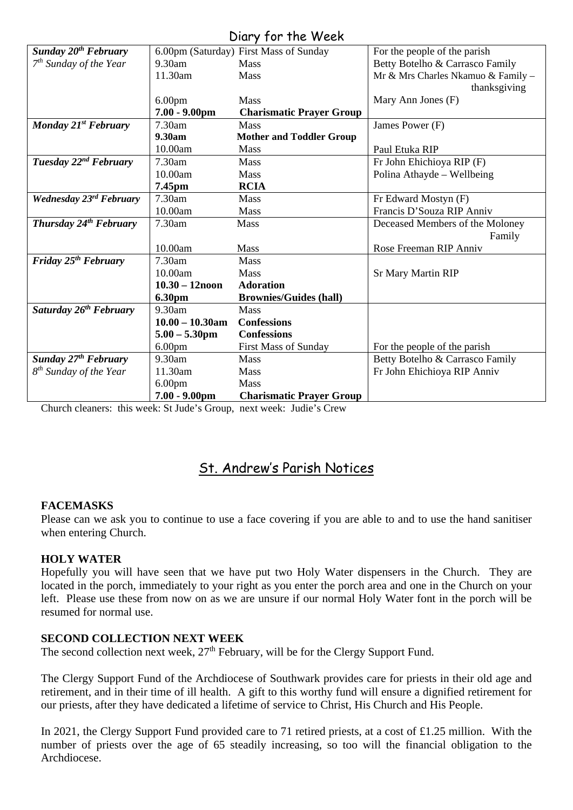# Diary for the Week

| UIUI Y JUI THE WEEN                    |                    |                                        |                                    |  |
|----------------------------------------|--------------------|----------------------------------------|------------------------------------|--|
| <b>Sunday 20<sup>th</sup> February</b> |                    | 6.00pm (Saturday) First Mass of Sunday | For the people of the parish       |  |
| $7th$ Sunday of the Year               | $9.30$ am          | <b>Mass</b>                            | Betty Botelho & Carrasco Family    |  |
|                                        | 11.30am            | Mass                                   | Mr & Mrs Charles Nkamuo & Family - |  |
|                                        |                    |                                        | thanksgiving                       |  |
|                                        | 6.00 <sub>pm</sub> | <b>Mass</b>                            | Mary Ann Jones (F)                 |  |
|                                        | $7.00 - 9.00$ pm   | <b>Charismatic Prayer Group</b>        |                                    |  |
| Monday 21st February                   | 7.30am             | <b>Mass</b>                            | James Power (F)                    |  |
|                                        | 9.30am             | <b>Mother and Toddler Group</b>        |                                    |  |
|                                        | 10.00am            | Mass                                   | Paul Etuka RIP                     |  |
| Tuesday 22 <sup>nd</sup> February      | 7.30am             | Mass                                   | Fr John Ehichioya RIP (F)          |  |
|                                        | 10.00am            | <b>Mass</b>                            | Polina Athayde - Wellbeing         |  |
|                                        | 7.45pm             | <b>RCIA</b>                            |                                    |  |
| Wednesday 23rd February                | 7.30am             | <b>Mass</b>                            | Fr Edward Mostyn (F)               |  |
|                                        | 10.00am            | Mass                                   | Francis D'Souza RIP Anniv          |  |
| Thursday 24 <sup>th</sup> February     | 7.30am             | <b>Mass</b>                            | Deceased Members of the Moloney    |  |
|                                        |                    |                                        | Family                             |  |
|                                        | 10.00am            | <b>Mass</b>                            | Rose Freeman RIP Anniv             |  |
| Friday 25 <sup>th</sup> February       | 7.30am             | <b>Mass</b>                            |                                    |  |
|                                        | 10.00am            | <b>Mass</b>                            | <b>Sr Mary Martin RIP</b>          |  |
|                                        | $10.30 - 12$ noon  | <b>Adoration</b>                       |                                    |  |
|                                        | 6.30pm             | <b>Brownies/Guides (hall)</b>          |                                    |  |
| Saturday 26 <sup>th</sup> February     | 9.30am             | Mass                                   |                                    |  |
|                                        | $10.00 - 10.30$ am | <b>Confessions</b>                     |                                    |  |
|                                        | $5.00 - 5.30$ pm   | <b>Confessions</b>                     |                                    |  |
|                                        | 6.00 <sub>pm</sub> | First Mass of Sunday                   | For the people of the parish       |  |
| <b>Sunday 27th February</b>            | $9.30$ am          | <b>Mass</b>                            | Betty Botelho & Carrasco Family    |  |
| 8 <sup>th</sup> Sunday of the Year     | 11.30am            | Mass                                   | Fr John Ehichioya RIP Anniv        |  |
|                                        | 6.00 <sub>pm</sub> | <b>Mass</b>                            |                                    |  |
|                                        | $7.00 - 9.00$ pm   | <b>Charismatic Prayer Group</b>        |                                    |  |

Church cleaners: this week: St Jude's Group, next week: Judie's Crew

# St. Andrew's Parish Notices

# **FACEMASKS**

Please can we ask you to continue to use a face covering if you are able to and to use the hand sanitiser when entering Church.

# **HOLY WATER**

Hopefully you will have seen that we have put two Holy Water dispensers in the Church. They are located in the porch, immediately to your right as you enter the porch area and one in the Church on your left. Please use these from now on as we are unsure if our normal Holy Water font in the porch will be resumed for normal use.

#### **SECOND COLLECTION NEXT WEEK**

The second collection next week,  $27<sup>th</sup>$  February, will be for the Clergy Support Fund.

The Clergy Support Fund of the Archdiocese of Southwark provides care for priests in their old age and retirement, and in their time of ill health. A gift to this worthy fund will ensure a dignified retirement for our priests, after they have dedicated a lifetime of service to Christ, His Church and His People.

In 2021, the Clergy Support Fund provided care to 71 retired priests, at a cost of £1.25 million. With the number of priests over the age of 65 steadily increasing, so too will the financial obligation to the Archdiocese.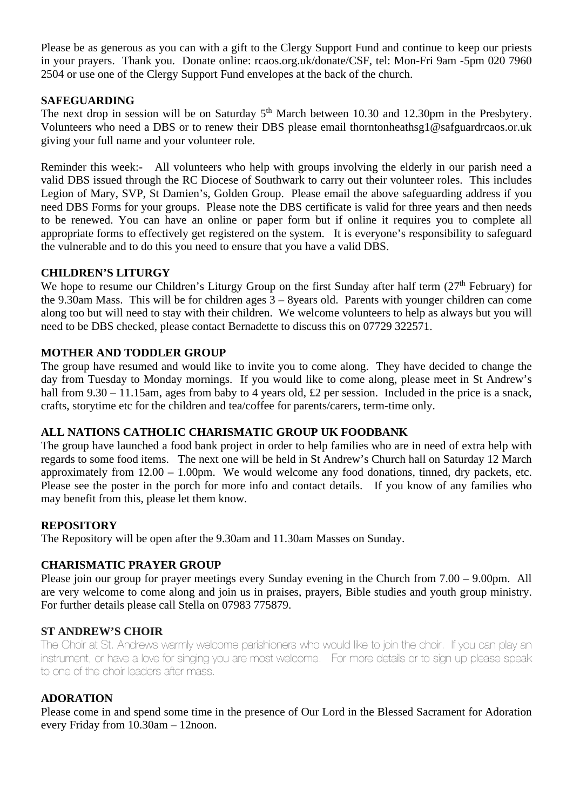Please be as generous as you can with a gift to the Clergy Support Fund and continue to keep our priests in your prayers. Thank you. Donate online: rcaos.org.uk/donate/CSF, tel: Mon-Fri 9am -5pm 020 7960 2504 or use one of the Clergy Support Fund envelopes at the back of the church.

#### **SAFEGUARDING**

The next drop in session will be on Saturday 5<sup>th</sup> March between 10.30 and 12.30pm in the Presbytery. Volunteers who need a DBS or to renew their DBS please email [thorntonheathsg1@safguardrcaos.or.uk](mailto:thorntonheathsg1@safguardrcaos.or.uk) giving your full name and your volunteer role.

Reminder this week:- All volunteers who help with groups involving the elderly in our parish need a valid DBS issued through the RC Diocese of Southwark to carry out their volunteer roles. This includes Legion of Mary, SVP, St Damien's, Golden Group. Please email the above safeguarding address if you need DBS Forms for your groups. Please note the DBS certificate is valid for three years and then needs to be renewed. You can have an online or paper form but if online it requires you to complete all appropriate forms to effectively get registered on the system. It is everyone's responsibility to safeguard the vulnerable and to do this you need to ensure that you have a valid DBS.

#### **CHILDREN'S LITURGY**

We hope to resume our Children's Liturgy Group on the first Sunday after half term (27<sup>th</sup> February) for the 9.30am Mass. This will be for children ages 3 – 8years old. Parents with younger children can come along too but will need to stay with their children. We welcome volunteers to help as always but you will need to be DBS checked, please contact Bernadette to discuss this on 07729 322571.

#### **MOTHER AND TODDLER GROUP**

The group have resumed and would like to invite you to come along. They have decided to change the day from Tuesday to Monday mornings. If you would like to come along, please meet in St Andrew's hall from 9.30 – 11.15am, ages from baby to 4 years old, £2 per session. Included in the price is a snack, crafts, storytime etc for the children and tea/coffee for parents/carers, term-time only.

#### **ALL NATIONS CATHOLIC CHARISMATIC GROUP UK FOODBANK**

The group have launched a food bank project in order to help families who are in need of extra help with regards to some food items. The next one will be held in St Andrew's Church hall on Saturday 12 March approximately from 12.00 – 1.00pm. We would welcome any food donations, tinned, dry packets, etc. Please see the poster in the porch for more info and contact details. If you know of any families who may benefit from this, please let them know.

#### **REPOSITORY**

The Repository will be open after the 9.30am and 11.30am Masses on Sunday.

# **CHARISMATIC PRAYER GROUP**

Please join our group for prayer meetings every Sunday evening in the Church from 7.00 – 9.00pm. All are very welcome to come along and join us in praises, prayers, Bible studies and youth group ministry. For further details please call Stella on 07983 775879.

#### **ST ANDREW'S CHOIR**

The Choir at St. Andrews warmly welcome parishioners who would like to join the choir. If you can play an instrument, or have a love for singing you are most welcome. For more details or to sign up please speak to one of the choir leaders after mass.

#### **ADORATION**

Please come in and spend some time in the presence of Our Lord in the Blessed Sacrament for Adoration every Friday from 10.30am – 12noon.